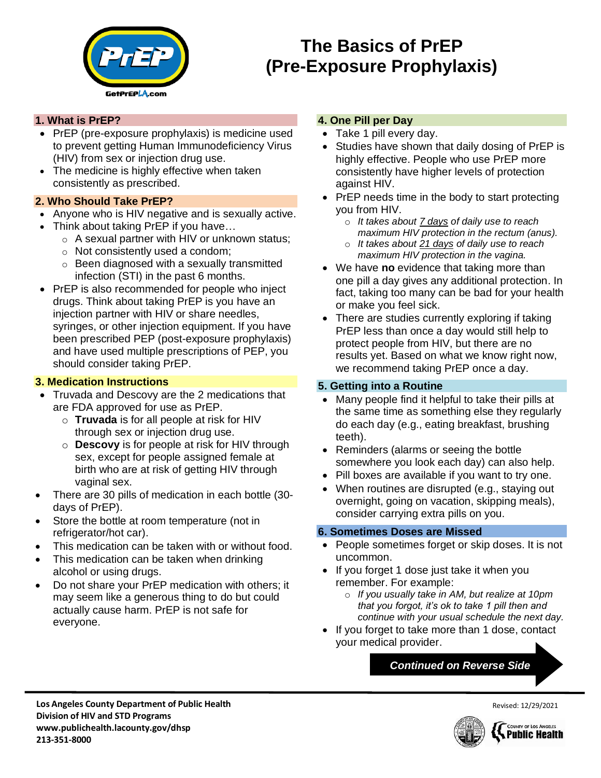

# **The Basics of PrEP (Pre-Exposure Prophylaxis)**

### **1. What is PrEP?**

- PrEP (pre-exposure prophylaxis) is medicine used to prevent getting Human Immunodeficiency Virus (HIV) from sex or injection drug use.
- The medicine is highly effective when taken consistently as prescribed.

### **2. Who Should Take PrEP?**

- Anyone who is HIV negative and is sexually active.
- Think about taking PrEP if you have…
	- o A sexual partner with HIV or unknown status;
	- o Not consistently used a condom;
	- $\circ$  Been diagnosed with a sexually transmitted infection (STI) in the past 6 months.
- PrEP is also recommended for people who inject drugs. Think about taking PrEP is you have an injection partner with HIV or share needles, syringes, or other injection equipment. If you have been prescribed PEP (post-exposure prophylaxis) and have used multiple prescriptions of PEP, you should consider taking PrEP.

# **3. Medication Instructions**

- Truvada and Descovy are the 2 medications that are FDA approved for use as PrEP.
	- o **Truvada** is for all people at risk for HIV through sex or injection drug use.
	- o **Descovy** is for people at risk for HIV through sex, except for people assigned female at birth who are at risk of getting HIV through vaginal sex.
- There are 30 pills of medication in each bottle (30 days of PrEP).
- Store the bottle at room temperature (not in refrigerator/hot car).
- This medication can be taken with or without food.
- This medication can be taken when drinking alcohol or using drugs.
- Do not share your PrEP medication with others; it may seem like a generous thing to do but could actually cause harm. PrEP is not safe for everyone.

### **4. One Pill per Day**

- Take 1 pill every day.
- Studies have shown that daily dosing of PrEP is highly effective. People who use PrEP more consistently have higher levels of protection against HIV.
- PrEP needs time in the body to start protecting you from HIV.
	- o *It takes about 7 days of daily use to reach maximum HIV protection in the rectum (anus).*
	- o *It takes about 21 days of daily use to reach maximum HIV protection in the vagina.*
- We have **no** evidence that taking more than one pill a day gives any additional protection. In fact, taking too many can be bad for your health or make you feel sick.
- There are studies currently exploring if taking PrEP less than once a day would still help to protect people from HIV, but there are no results yet. Based on what we know right now, we recommend taking PrEP once a day.

# **5. Getting into a Routine**

- Many people find it helpful to take their pills at the same time as something else they regularly do each day (e.g., eating breakfast, brushing teeth).
- Reminders (alarms or seeing the bottle somewhere you look each day) can also help.
- Pill boxes are available if you want to try one.
- When routines are disrupted (e.g., staying out overnight, going on vacation, skipping meals), consider carrying extra pills on you.

# **6. Sometimes Doses are Missed**

- People sometimes forget or skip doses. It is not uncommon.
- If you forget 1 dose just take it when you remember. For example:
	- o *If you usually take in AM, but realize at 10pm that you forgot, it's ok to take 1 pill then and continue with your usual schedule the next day.*
- If you forget to take more than 1 dose, contact your medical provider.

# *Continued on Reverse Side*





Revised: 12/29/2021